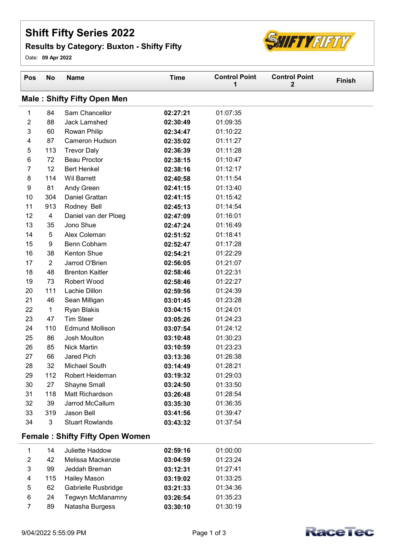## Shift Fifty Series 2022

## Results by Category: Buxton - Shifty Fifty



Date: 09 Apr 2022

| Pos            | <b>No</b>               | <b>Name</b>                            | <b>Time</b> | <b>Control Point</b><br>1 | <b>Control Point</b><br>$\mathbf{2}$ | <b>Finish</b> |
|----------------|-------------------------|----------------------------------------|-------------|---------------------------|--------------------------------------|---------------|
|                |                         | <b>Male: Shifty Fifty Open Men</b>     |             |                           |                                      |               |
| 1              | 84                      | Sam Chancellor                         | 02:27:21    | 01:07:35                  |                                      |               |
| $\overline{2}$ | 88                      | <b>Jack Lamshed</b>                    | 02:30:49    | 01:09:35                  |                                      |               |
| 3              | 60                      | Rowan Philip                           | 02:34:47    | 01:10:22                  |                                      |               |
| 4              | 87                      | Cameron Hudson                         | 02:35:02    | 01:11:27                  |                                      |               |
| 5              | 113                     | <b>Trevor Daly</b>                     | 02:36:39    | 01:11:28                  |                                      |               |
| 6              | 72                      | <b>Beau Proctor</b>                    | 02:38:15    | 01:10:47                  |                                      |               |
| 7              | 12                      | <b>Bert Henkel</b>                     | 02:38:16    | 01:12:17                  |                                      |               |
| 8              | 114                     | <b>Wil Barrett</b>                     | 02:40:58    | 01:11:54                  |                                      |               |
| 9              | 81                      | Andy Green                             | 02:41:15    | 01:13:40                  |                                      |               |
| 10             | 304                     | Daniel Grattan                         | 02:41:15    | 01:15:42                  |                                      |               |
| 11             | 913                     | Rodney Bell                            | 02:45:13    | 01:14:54                  |                                      |               |
| 12             | $\overline{\mathbf{4}}$ | Daniel van der Ploeg                   | 02:47:09    | 01:16:01                  |                                      |               |
| 13             | 35                      | Jono Shue                              | 02:47:24    | 01:16:49                  |                                      |               |
| 14             | 5                       | Alex Coleman                           | 02:51:52    | 01:18:41                  |                                      |               |
| 15             | 9                       | Benn Cobham                            | 02:52:47    | 01:17:28                  |                                      |               |
| 16             | 38                      | Kenton Shue                            | 02:54:21    | 01:22:29                  |                                      |               |
| 17             | $\overline{2}$          | Jarrod O'Brien                         | 02:56:05    | 01:21:07                  |                                      |               |
| 18             | 48                      | <b>Brenton Kaitler</b>                 | 02:58:46    | 01:22:31                  |                                      |               |
| 19             | 73                      | Robert Wood                            | 02:58:46    | 01:22:27                  |                                      |               |
| 20             | 111                     | Lachie Dillon                          | 02:59:56    | 01:24:39                  |                                      |               |
| 21             | 46                      | Sean Milligan                          | 03:01:45    | 01:23:28                  |                                      |               |
| 22             | $\mathbf{1}$            | <b>Ryan Blakis</b>                     | 03:04:15    | 01:24:01                  |                                      |               |
| 23             | 47                      | <b>Tim Steer</b>                       | 03:05:26    | 01:24:23                  |                                      |               |
| 24             | 110                     | <b>Edmund Mollison</b>                 | 03:07:54    | 01:24:12                  |                                      |               |
| 25             | 86                      | Josh Moulton                           | 03:10:48    | 01:30:23                  |                                      |               |
| 26             | 85                      | <b>Nick Martin</b>                     | 03:10:59    | 01:23:23                  |                                      |               |
| 27             | 66                      | Jared Pich                             | 03:13:36    | 01:26:38                  |                                      |               |
| 28             | 32                      | Michael South                          | 03:14:49    | 01:28:21                  |                                      |               |
| 29             | 112                     | Robert Heideman                        | 03:19:32    | 01:29:03                  |                                      |               |
| 30             | 27                      | Shayne Small                           | 03:24:50    | 01:33:50                  |                                      |               |
| 31             | 118                     | Matt Richardson                        | 03:26:48    | 01:28:54                  |                                      |               |
| 32             | 39                      | Jarrod McCallum                        | 03:35:30    | 01:36:35                  |                                      |               |
| 33             | 319                     | Jason Bell                             | 03:41:56    | 01:39:47                  |                                      |               |
| 34             | 3                       | <b>Stuart Rowlands</b>                 | 03:43:32    | 01:37:54                  |                                      |               |
|                |                         | <b>Female: Shifty Fifty Open Women</b> |             |                           |                                      |               |
| 1              | 14                      | Juliette Haddow                        | 02:59:16    | 01:00:00                  |                                      |               |
| $\overline{2}$ | 42                      | Melissa Mackenzie                      | 03:04:59    | 01:23:24                  |                                      |               |
| 3              | 99                      | Jeddah Breman                          | 03:12:31    | 01:27:41                  |                                      |               |
| 4              | 115                     | <b>Hailey Mason</b>                    | 03:19:02    | 01:33:25                  |                                      |               |
| 5              | 62                      | Gabrielle Rusbridge                    | 03:21:33    | 01:34:36                  |                                      |               |
| 6              | 24                      | Tegwyn McManamny                       | 03:26:54    | 01:35:23                  |                                      |               |





7 Natasha Burgess 01:30:19 89 03:30:10

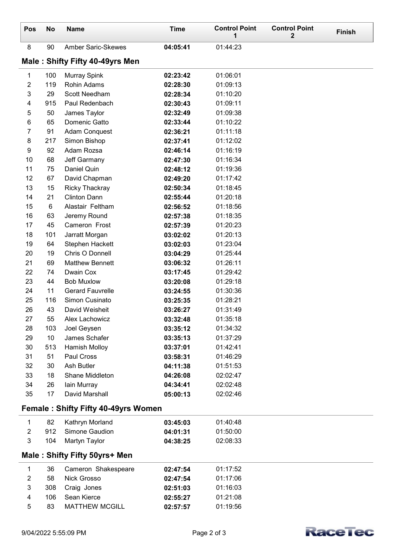| Pos                                        | No  | <b>Name</b>                     | <b>Time</b> | <b>Control Point</b><br>1 | <b>Control Point</b><br>2 | <b>Finish</b> |  |
|--------------------------------------------|-----|---------------------------------|-------------|---------------------------|---------------------------|---------------|--|
| 8                                          | 90  | <b>Amber Saric-Skewes</b>       | 04:05:41    | 01:44:23                  |                           |               |  |
|                                            |     | Male: Shifty Fifty 40-49yrs Men |             |                           |                           |               |  |
| 1                                          | 100 | <b>Murray Spink</b>             | 02:23:42    | 01:06:01                  |                           |               |  |
| $\overline{2}$                             | 119 | Rohin Adams                     | 02:28:30    | 01:09:13                  |                           |               |  |
| 3                                          | 29  | Scott Needham                   | 02:28:34    | 01:10:20                  |                           |               |  |
| 4                                          | 915 | Paul Redenbach                  | 02:30:43    | 01:09:11                  |                           |               |  |
| 5                                          | 50  | James Taylor                    | 02:32:49    | 01:09:38                  |                           |               |  |
| 6                                          | 65  | Domenic Gatto                   | 02:33:44    | 01:10:22                  |                           |               |  |
| 7                                          | 91  | Adam Conquest                   | 02:36:21    | 01:11:18                  |                           |               |  |
| 8                                          | 217 | Simon Bishop                    | 02:37:41    | 01:12:02                  |                           |               |  |
| 9                                          | 92  | Adam Rozsa                      | 02:46:14    | 01:16:19                  |                           |               |  |
| 10                                         | 68  | Jeff Garmany                    | 02:47:30    | 01:16:34                  |                           |               |  |
| 11                                         | 75  | Daniel Quin                     | 02:48:12    | 01:19:36                  |                           |               |  |
| 12                                         | 67  | David Chapman                   | 02:49:20    | 01:17:42                  |                           |               |  |
| 13                                         | 15  | <b>Ricky Thackray</b>           | 02:50:34    | 01:18:45                  |                           |               |  |
| 14                                         | 21  | <b>Clinton Dann</b>             | 02:55:44    | 01:20:18                  |                           |               |  |
| 15                                         | 6   | Alastair Feltham                | 02:56:52    | 01:18:56                  |                           |               |  |
| 16                                         | 63  | Jeremy Round                    | 02:57:38    | 01:18:35                  |                           |               |  |
| 17                                         | 45  | Cameron Frost                   | 02:57:39    | 01:20:23                  |                           |               |  |
| 18                                         | 101 | Jarratt Morgan                  | 03:02:02    | 01:20:13                  |                           |               |  |
| 19                                         | 64  | Stephen Hackett                 | 03:02:03    | 01:23:04                  |                           |               |  |
| 20                                         | 19  | Chris O Donnell                 | 03:04:29    | 01:25:44                  |                           |               |  |
| 21                                         | 69  | <b>Matthew Bennett</b>          | 03:06:32    | 01:26:11                  |                           |               |  |
| 22                                         | 74  | Dwain Cox                       | 03:17:45    | 01:29:42                  |                           |               |  |
| 23                                         | 44  | <b>Bob Muxlow</b>               | 03:20:08    | 01:29:18                  |                           |               |  |
| 24                                         | 11  | <b>Gerard Fauvrelle</b>         | 03:24:55    | 01:30:36                  |                           |               |  |
| 25                                         | 116 | Simon Cusinato                  | 03:25:35    | 01:28:21                  |                           |               |  |
| 26                                         | 43  | David Weisheit                  | 03:26:27    | 01:31:49                  |                           |               |  |
| 27                                         | 55  | Alex Lachowicz                  | 03:32:48    | 01:35:18                  |                           |               |  |
| 28                                         | 103 | Joel Geysen                     | 03:35:12    | 01:34:32                  |                           |               |  |
| 29                                         | 10  | James Schafer                   | 03:35:13    | 01:37:29                  |                           |               |  |
| 30                                         | 513 | <b>Hamish Molloy</b>            | 03:37:01    | 01:42:41                  |                           |               |  |
| 31                                         | 51  | Paul Cross                      | 03:58:31    | 01:46:29                  |                           |               |  |
| 32                                         | 30  | Ash Butler                      | 04:11:38    | 01:51:53                  |                           |               |  |
| 33                                         | 18  | Shane Middleton                 | 04:26:08    | 02:02:47                  |                           |               |  |
| 34                                         | 26  | lain Murray                     | 04:34:41    | 02:02:48                  |                           |               |  |
| 35                                         | 17  | David Marshall                  | 05:00:13    | 02:02:46                  |                           |               |  |
| <b>Female: Shifty Fifty 40-49yrs Women</b> |     |                                 |             |                           |                           |               |  |
| 1                                          | 82  | Kathryn Morland                 | 03:45:03    | 01:40:48                  |                           |               |  |
| $\overline{2}$                             | 912 | Simone Gaudion                  | 04:01:31    | 01:50:00                  |                           |               |  |
| 3                                          | 104 | Martyn Taylor                   | 04:38:25    | 02:08:33                  |                           |               |  |
|                                            |     | Male: Shifty Fifty 50yrs+ Men   |             |                           |                           |               |  |
| 1                                          | 36  | Cameron Shakespeare             | 02:47:54    | 01:17:52                  |                           |               |  |
| $\overline{2}$                             | 58  | Nick Grosso                     | 02:47:54    | 01:17:06                  |                           |               |  |
| 3                                          | 308 | Craig Jones                     | 02:51:03    | 01:16:03                  |                           |               |  |
| 4                                          | 106 | Sean Kierce                     | 02:55:27    | 01:21:08                  |                           |               |  |
| 5                                          | 83  | <b>MATTHEW MCGILL</b>           | 02:57:57    | 01:19:56                  |                           |               |  |
|                                            |     |                                 |             |                           |                           |               |  |

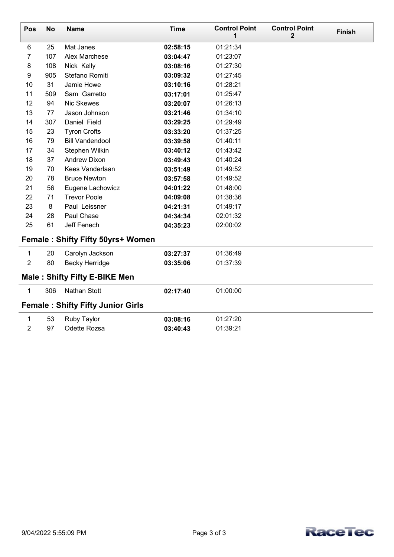| $\mathbf{2}$<br>1<br>6<br>01:21:34<br>25<br>Mat Janes<br>02:58:15<br>$\overline{7}$<br>107<br>Alex Marchese<br>01:23:07<br>03:04:47<br>$\bf 8$<br>108<br>Nick Kelly<br>01:27:30<br>03:08:16<br>905<br>$\boldsymbol{9}$<br>Stefano Romiti<br>03:09:32<br>01:27:45<br>10<br>31<br>Jamie Howe<br>01:28:21<br>03:10:16<br>11<br>509<br>Sam Garretto<br>01:25:47<br>03:17:01 |  |  |  |  |  |  |  |  |
|-------------------------------------------------------------------------------------------------------------------------------------------------------------------------------------------------------------------------------------------------------------------------------------------------------------------------------------------------------------------------|--|--|--|--|--|--|--|--|
|                                                                                                                                                                                                                                                                                                                                                                         |  |  |  |  |  |  |  |  |
|                                                                                                                                                                                                                                                                                                                                                                         |  |  |  |  |  |  |  |  |
|                                                                                                                                                                                                                                                                                                                                                                         |  |  |  |  |  |  |  |  |
|                                                                                                                                                                                                                                                                                                                                                                         |  |  |  |  |  |  |  |  |
|                                                                                                                                                                                                                                                                                                                                                                         |  |  |  |  |  |  |  |  |
|                                                                                                                                                                                                                                                                                                                                                                         |  |  |  |  |  |  |  |  |
|                                                                                                                                                                                                                                                                                                                                                                         |  |  |  |  |  |  |  |  |
| Nic Skewes<br>12<br>94<br>01:26:13<br>03:20:07                                                                                                                                                                                                                                                                                                                          |  |  |  |  |  |  |  |  |
| 13<br>77<br>Jason Johnson<br>01:34:10<br>03:21:46                                                                                                                                                                                                                                                                                                                       |  |  |  |  |  |  |  |  |
| 14<br>307<br>Daniel Field<br>01:29:49<br>03:29:25                                                                                                                                                                                                                                                                                                                       |  |  |  |  |  |  |  |  |
| 15<br>23<br><b>Tyron Crofts</b><br>01:37:25<br>03:33:20                                                                                                                                                                                                                                                                                                                 |  |  |  |  |  |  |  |  |
| 16<br>79<br><b>Bill Vandendool</b><br>03:39:58<br>01:40:11                                                                                                                                                                                                                                                                                                              |  |  |  |  |  |  |  |  |
| 17<br>34<br>Stephen Wilkin<br>03:40:12<br>01:43:42                                                                                                                                                                                                                                                                                                                      |  |  |  |  |  |  |  |  |
| 18<br>37<br><b>Andrew Dixon</b><br>03:49:43<br>01:40:24                                                                                                                                                                                                                                                                                                                 |  |  |  |  |  |  |  |  |
| 19<br>70<br>Kees Vanderlaan<br>01:49:52<br>03:51:49                                                                                                                                                                                                                                                                                                                     |  |  |  |  |  |  |  |  |
| 20<br>78<br><b>Bruce Newton</b><br>01:49:52<br>03:57:58                                                                                                                                                                                                                                                                                                                 |  |  |  |  |  |  |  |  |
| 21<br>56<br>Eugene Lachowicz<br>01:48:00<br>04:01:22                                                                                                                                                                                                                                                                                                                    |  |  |  |  |  |  |  |  |
| 22<br>71<br><b>Trevor Poole</b><br>01:38:36<br>04:09:08                                                                                                                                                                                                                                                                                                                 |  |  |  |  |  |  |  |  |
| 23<br>8<br>Paul Leissner<br>01:49:17<br>04:21:31                                                                                                                                                                                                                                                                                                                        |  |  |  |  |  |  |  |  |
| 24<br>28<br>Paul Chase<br>04:34:34<br>02:01:32                                                                                                                                                                                                                                                                                                                          |  |  |  |  |  |  |  |  |
| 61<br>25<br>Jeff Fenech<br>02:00:02<br>04:35:23                                                                                                                                                                                                                                                                                                                         |  |  |  |  |  |  |  |  |
| Female: Shifty Fifty 50yrs+ Women                                                                                                                                                                                                                                                                                                                                       |  |  |  |  |  |  |  |  |
| 1<br>20<br>01:36:49<br>Carolyn Jackson<br>03:27:37                                                                                                                                                                                                                                                                                                                      |  |  |  |  |  |  |  |  |
| $\overline{2}$<br>80<br><b>Becky Herridge</b><br>01:37:39<br>03:35:06                                                                                                                                                                                                                                                                                                   |  |  |  |  |  |  |  |  |
| <b>Male: Shifty Fifty E-BIKE Men</b>                                                                                                                                                                                                                                                                                                                                    |  |  |  |  |  |  |  |  |
| 1<br>306<br><b>Nathan Stott</b><br>02:17:40<br>01:00:00                                                                                                                                                                                                                                                                                                                 |  |  |  |  |  |  |  |  |
| <b>Female: Shifty Fifty Junior Girls</b>                                                                                                                                                                                                                                                                                                                                |  |  |  |  |  |  |  |  |
| 53<br>1<br>Ruby Taylor<br>03:08:16<br>01:27:20                                                                                                                                                                                                                                                                                                                          |  |  |  |  |  |  |  |  |
| 2<br>97<br>Odette Rozsa<br>03:40:43<br>01:39:21                                                                                                                                                                                                                                                                                                                         |  |  |  |  |  |  |  |  |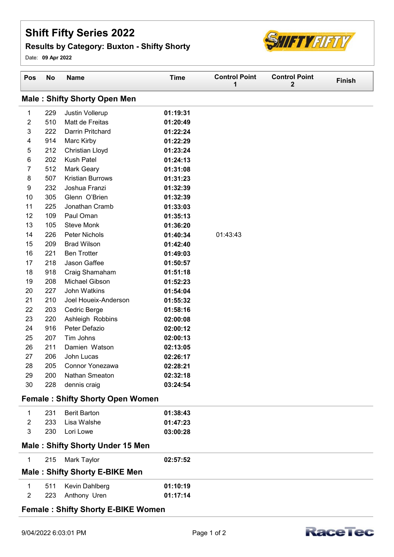## Shift Fifty Series 2022

## Results by Category: Buxton - Shifty Shorty



Date: 09 Apr 2022

| Pos                                       | <b>No</b> | <b>Name</b>                             | <b>Time</b> | <b>Control Point</b><br>1 | <b>Control Point</b><br>$\mathbf{2}$ | Finish |  |
|-------------------------------------------|-----------|-----------------------------------------|-------------|---------------------------|--------------------------------------|--------|--|
|                                           |           | <b>Male: Shifty Shorty Open Men</b>     |             |                           |                                      |        |  |
| 1                                         | 229       | Justin Vollerup                         | 01:19:31    |                           |                                      |        |  |
| $\overline{2}$                            | 510       | Matt de Freitas                         | 01:20:49    |                           |                                      |        |  |
| 3                                         | 222       | Darrin Pritchard                        | 01:22:24    |                           |                                      |        |  |
| 4                                         | 914       | Marc Kirby                              | 01:22:29    |                           |                                      |        |  |
| 5                                         | 212       | <b>Christian Lloyd</b>                  | 01:23:24    |                           |                                      |        |  |
| 6                                         | 202       | <b>Kush Patel</b>                       | 01:24:13    |                           |                                      |        |  |
| 7                                         | 512       | <b>Mark Geary</b>                       | 01:31:08    |                           |                                      |        |  |
| 8                                         | 507       | <b>Kristian Burrows</b>                 | 01:31:23    |                           |                                      |        |  |
| 9                                         | 232       | Joshua Franzi                           | 01:32:39    |                           |                                      |        |  |
| 10                                        | 305       | Glenn O'Brien                           | 01:32:39    |                           |                                      |        |  |
| 11                                        | 225       | Jonathan Cramb                          | 01:33:03    |                           |                                      |        |  |
| 12                                        | 109       | Paul Oman                               | 01:35:13    |                           |                                      |        |  |
| 13                                        | 105       | <b>Steve Monk</b>                       | 01:36:20    |                           |                                      |        |  |
| 14                                        | 226       | Peter Nichols                           | 01:40:34    | 01:43:43                  |                                      |        |  |
| 15                                        | 209       | <b>Brad Wilson</b>                      | 01:42:40    |                           |                                      |        |  |
| 16                                        | 221       | <b>Ben Trotter</b>                      | 01:49:03    |                           |                                      |        |  |
| 17                                        | 218       | Jason Gaffee                            | 01:50:57    |                           |                                      |        |  |
| 18                                        | 918       | Craig Shamaham                          | 01:51:18    |                           |                                      |        |  |
| 19                                        | 208       | Michael Gibson                          | 01:52:23    |                           |                                      |        |  |
| 20                                        | 227       | John Watkins                            | 01:54:04    |                           |                                      |        |  |
| 21                                        | 210       | Joel Houeix-Anderson                    | 01:55:32    |                           |                                      |        |  |
| 22                                        | 203       | Cedric Berge                            | 01:58:16    |                           |                                      |        |  |
| 23                                        | 220       | Ashleigh Robbins                        | 02:00:08    |                           |                                      |        |  |
| 24                                        | 916       | Peter Defazio                           | 02:00:12    |                           |                                      |        |  |
| 25                                        | 207       | Tim Johns                               | 02:00:13    |                           |                                      |        |  |
| 26                                        | 211       | Damien Watson                           | 02:13:05    |                           |                                      |        |  |
| 27                                        | 206       | John Lucas                              | 02:26:17    |                           |                                      |        |  |
| 28                                        | 205       | Connor Yonezawa                         | 02:28:21    |                           |                                      |        |  |
| 29                                        | 200       | Nathan Smeaton                          | 02:32:18    |                           |                                      |        |  |
| 30                                        | 228       | dennis craig                            | 03:24:54    |                           |                                      |        |  |
|                                           |           | <b>Female: Shifty Shorty Open Women</b> |             |                           |                                      |        |  |
| 1                                         | 231       | <b>Berit Barton</b>                     | 01:38:43    |                           |                                      |        |  |
| $\overline{2}$                            | 233       | Lisa Walshe                             | 01:47:23    |                           |                                      |        |  |
| 3                                         | 230       | Lori Lowe                               | 03:00:28    |                           |                                      |        |  |
| <b>Male: Shifty Shorty Under 15 Men</b>   |           |                                         |             |                           |                                      |        |  |
| 1                                         | 215       | Mark Taylor                             | 02:57:52    |                           |                                      |        |  |
| <b>Male: Shifty Shorty E-BIKE Men</b>     |           |                                         |             |                           |                                      |        |  |
| 1                                         | 511       | Kevin Dahlberg                          | 01:10:19    |                           |                                      |        |  |
| $\overline{2}$                            | 223       | Anthony Uren                            | 01:17:14    |                           |                                      |        |  |
| <b>Female: Shifty Shorty E-BIKE Women</b> |           |                                         |             |                           |                                      |        |  |